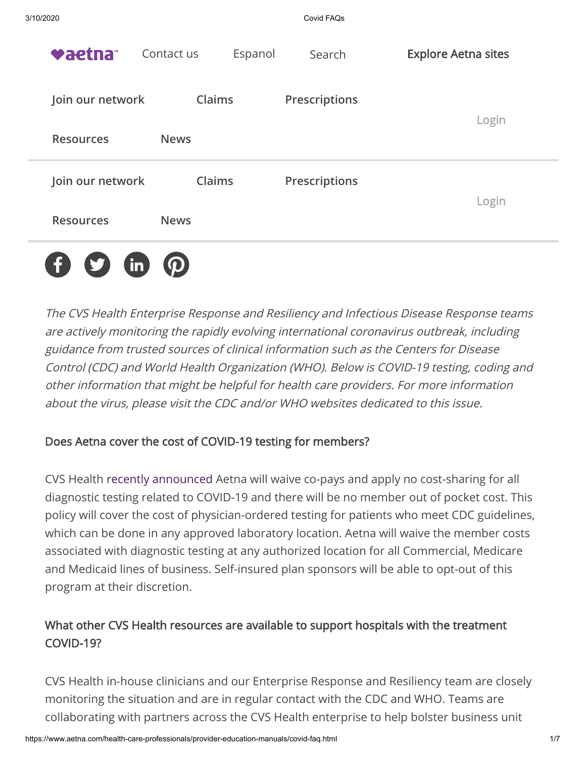| 3/10/2020        |                       | Covid FAQs    |                            |
|------------------|-----------------------|---------------|----------------------------|
| vaetna           | Contact us<br>Espanol | Search        | <b>Explore Aetna sites</b> |
| Join our network | Claims                | Prescriptions |                            |
| <b>Resources</b> | <b>News</b>           |               | Login                      |
| Join our network | Claims                | Prescriptions | Login                      |
| <b>Resources</b> | <b>News</b>           |               |                            |
|                  |                       |               |                            |

The CVS Health Enterprise Response and Resiliency and Infectious Disease Response teams are actively monitoring the rapidly evolving international coronavirus outbreak, including guidance from trusted sources of clinical information such as the Centers for Disease Control (CDC) and World Health Organization (WHO). Below is COVID-19 testing, coding and other information that might be helpful for health care providers. For more information about the virus, please visit the [CDC](http://www.cdc.gov/coronavirus/index.html) and/or [WHO websites](http://www.who.int/emergencies/diseases/novel-coronavirus-2019) dedicated to this issue.

# Does Aetna cover the cost of COVID-19 testing for members?

CVS Health [recently announced](https://www.cvshealth.com/newsroom/press-releases/cvs-health-announces-covid-19-resources-aetna-members) Aetna will waive co-pays and apply no cost-sharing for all diagnostic testing related to COVID-19 and there will be no member out of pocket cost. This policy will cover the cost of physician-ordered testing for patients who meet CDC guidelines, which can be done in any approved laboratory location. Aetna will waive the member costs associated with diagnostic testing at any authorized location for all Commercial, Medicare and Medicaid lines of business. Self-insured plan sponsors will be able to opt-out of this program at their discretion.

# What other CVS Health resources are available to support hospitals with the treatment COVID-19?

CVS Health in-house clinicians and our Enterprise Response and Resiliency team are closely monitoring the situation and are in regular contact with the CDC and WHO. Teams are collaborating with partners across the CVS Health enterprise to help bolster business unit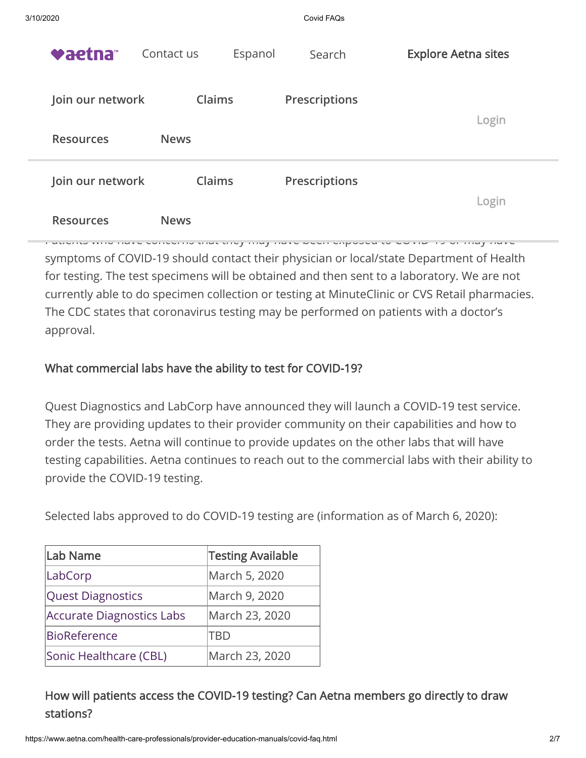| 3/10/2020        |                       | Covid FAQs           |                            |
|------------------|-----------------------|----------------------|----------------------------|
| <b>vaetna</b> ™  | Espanol<br>Contact us | Search               | <b>Explore Aetna sites</b> |
| Join our network | <b>Claims</b>         | <b>Prescriptions</b> |                            |
| <b>Resources</b> | <b>News</b>           |                      | Login                      |
| Join our network | Claims                | <b>Prescriptions</b> | Login                      |
| <b>Resources</b> | <b>News</b>           |                      |                            |

Patients who have concerns that they may have been exposed to COVID-19 or may have symptoms of COVID-19 should contact their physician or local/state Department of Health for testing. The test specimens will be obtained and then sent to a laboratory. We are not currently able to do specimen collection or testing at MinuteClinic or CVS Retail pharmacies. The CDC states that coronavirus testing may be performed on patients with a doctor's approval.

# What commercial labs have the ability to test for COVID-19?

Quest Diagnostics and LabCorp have announced they will launch a COVID-19 test service. They are providing updates to their provider community on their capabilities and how to order the tests. Aetna will continue to provide updates on the other labs that will have testing capabilities. Aetna continues to reach out to the commercial labs with their ability to provide the COVID-19 testing.

Selected labs approved to do COVID-19 testing are (information as of March 6, 2020):

| Lab Name                         | <b>Testing Available</b> |  |
|----------------------------------|--------------------------|--|
| LabCorp                          | March 5, 2020            |  |
| <b>Quest Diagnostics</b>         | March 9, 2020            |  |
| <b>Accurate Diagnostics Labs</b> | March 23, 2020           |  |
| <b>BioReference</b>              | TRD                      |  |
| Sonic Healthcare (CBL)           | March 23, 2020           |  |

How will patients access the COVID-19 testing? Can Aetna members go directly to draw stations?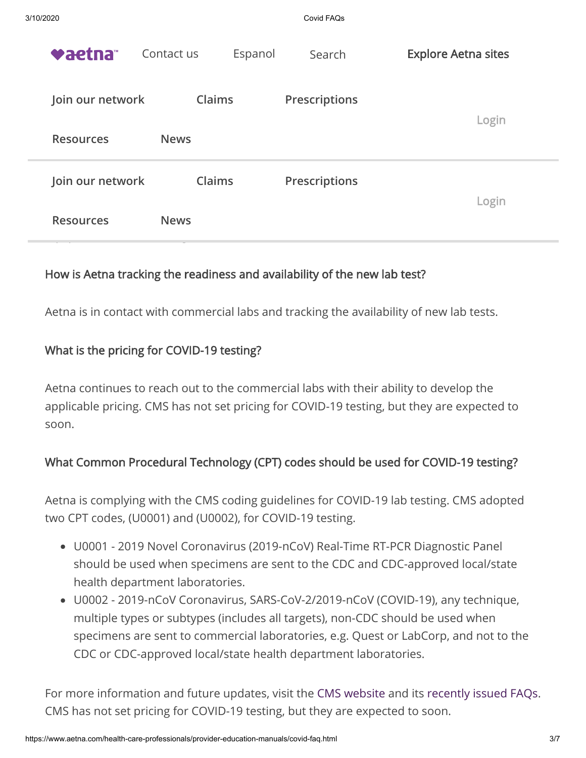| 3/10/2020 |                  |               |         | Covid FAQs           |                            |  |
|-----------|------------------|---------------|---------|----------------------|----------------------------|--|
|           | vaetna           | Contact us    | Espanol | Search               | <b>Explore Aetna sites</b> |  |
|           | Join our network | Claims        |         | Prescriptions        |                            |  |
|           | <b>Resources</b> | <b>News</b>   |         |                      | Login                      |  |
|           | Join our network | <b>Claims</b> |         | <b>Prescriptions</b> | Login                      |  |
|           | <b>Resources</b> | <b>News</b>   |         |                      |                            |  |

### How is Aetna tracking the readiness and availability of the new lab test?

Aetna is in contact with commercial labs and tracking the availability of new lab tests.

#### What is the pricing for COVID-19 testing?

Aetna continues to reach out to the commercial labs with their ability to develop the applicable pricing. CMS has not set pricing for COVID-19 testing, but they are expected to soon.

# What Common Procedural Technology (CPT) codes should be used for COVID-19 testing?

Aetna is complying with the CMS coding guidelines for COVID-19 lab testing. CMS adopted two CPT codes, (U0001) and (U0002), for COVID-19 testing.

- U0001 2019 Novel Coronavirus (2019-nCoV) Real-Time RT-PCR Diagnostic Panel should be used when specimens are sent to the CDC and CDC-approved local/state health department laboratories.
- U0002 2019-nCoV Coronavirus, SARS-CoV-2/2019-nCoV (COVID-19), any technique, multiple types or subtypes (includes all targets), non-CDC should be used when specimens are sent to commercial laboratories, e.g. Quest or LabCorp, and not to the CDC or CDC-approved local/state health department laboratories.

For more information and future updates, visit the [CMS website](https://www.cms.gov/) and its [recently issued FAQs](https://www.cms.gov/newsroom/press-releases/covid-19-response-news-alert-cms-issues-frequently-asked-questions-assist-medicare-providers). CMS has not set pricing for COVID-19 testing, but they are expected to soon.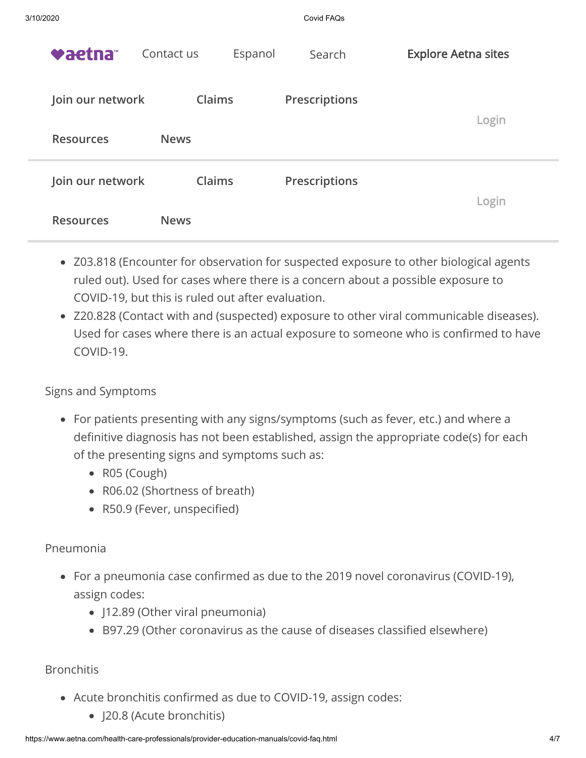| 3/10/2020        |                       | Covid FAQs    |                            |
|------------------|-----------------------|---------------|----------------------------|
| vaetna           | Contact us<br>Espanol | Search        | <b>Explore Aetna sites</b> |
| Join our network | Claims                | Prescriptions | Login                      |
| <b>Resources</b> | <b>News</b>           |               |                            |
| Join our network | Claims                | Prescriptions |                            |
| <b>Resources</b> | <b>News</b>           |               | Login                      |

- Z03.818 (Encounter for observation for suspected exposure to other biological agents ruled out). Used for cases where there is a concern about a possible exposure to COVID-19, but this is ruled out after evaluation.
- Z20.828 (Contact with and (suspected) exposure to other viral communicable diseases). Used for cases where there is an actual exposure to someone who is confirmed to have COVID-19.

#### Signs and Symptoms

- For patients presenting with any signs/symptoms (such as fever, etc.) and where a definitive diagnosis has not been established, assign the appropriate code(s) for each of the presenting signs and symptoms such as:
	- R05 (Cough)
	- R06.02 (Shortness of breath)
	- R50.9 (Fever, unspecified)

# Pneumonia

- For a pneumonia case confirmed as due to the 2019 novel coronavirus (COVID-19), assign codes:
	- J12.89 (Other viral pneumonia)
	- B97.29 (Other coronavirus as the cause of diseases classified elsewhere)

# **Bronchitis**

- Acute bronchitis confirmed as due to COVID-19, assign codes:
	- J20.8 (Acute bronchitis)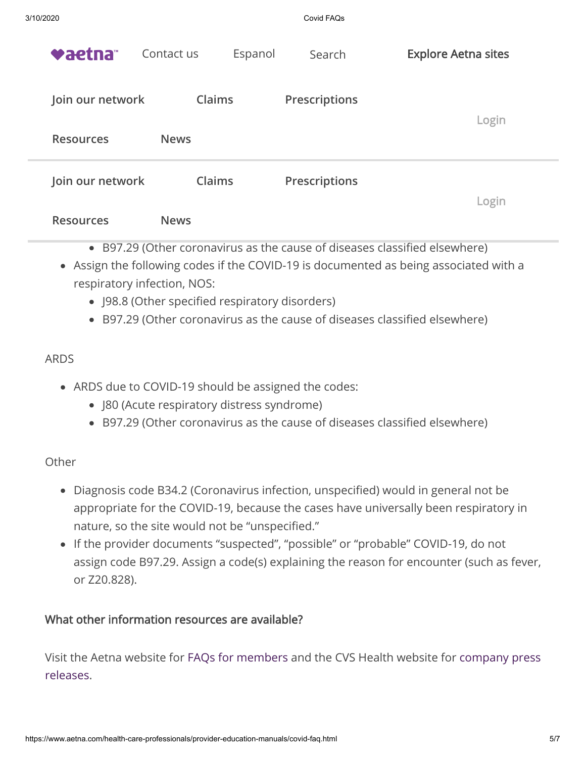| 3/10/2020 |                  |               |         | Covid FAQs    |                            |  |
|-----------|------------------|---------------|---------|---------------|----------------------------|--|
|           | <b>vaetna™</b>   | Contact us    | Espanol | Search        | <b>Explore Aetna sites</b> |  |
|           | Join our network | <b>Claims</b> |         | Prescriptions | Login                      |  |
|           | <b>Resources</b> | <b>News</b>   |         |               |                            |  |
|           | Join our network | Claims        |         | Prescriptions |                            |  |
|           | <b>Resources</b> | <b>News</b>   |         |               | Login                      |  |

- B97.29 (Other coronavirus as the cause of diseases classified elsewhere)
- Assign the following codes if the COVID-19 is documented as being associated with a respiratory infection, NOS:
	- J98.8 (Other specified respiratory disorders)
	- B97.29 (Other coronavirus as the cause of diseases classified elsewhere)

### ARDS

- ARDS due to COVID-19 should be assigned the codes:
	- J80 (Acute respiratory distress syndrome)
	- B97.29 (Other coronavirus as the cause of diseases classified elsewhere)

#### **Other**

- Diagnosis code B34.2 (Coronavirus infection, unspecified) would in general not be appropriate for the COVID-19, because the cases have universally been respiratory in nature, so the site would not be "unspecified."
- If the provider documents "suspected", "possible" or "probable" COVID-19, do not assign code B97.29. Assign a code(s) explaining the reason for encounter (such as fever, or Z20.828).

#### What other information resources are available?

[Visit the Aetna website for](https://www.cvshealth.com/newsroom/press-releases) [FAQs for member](https://www.aetna.com/individuals-families/member-rights-resources/need-to-know-coronavirus.html)[s and the CVS Health website for company press](https://www.cvshealth.com/newsroom/press-releases) releases.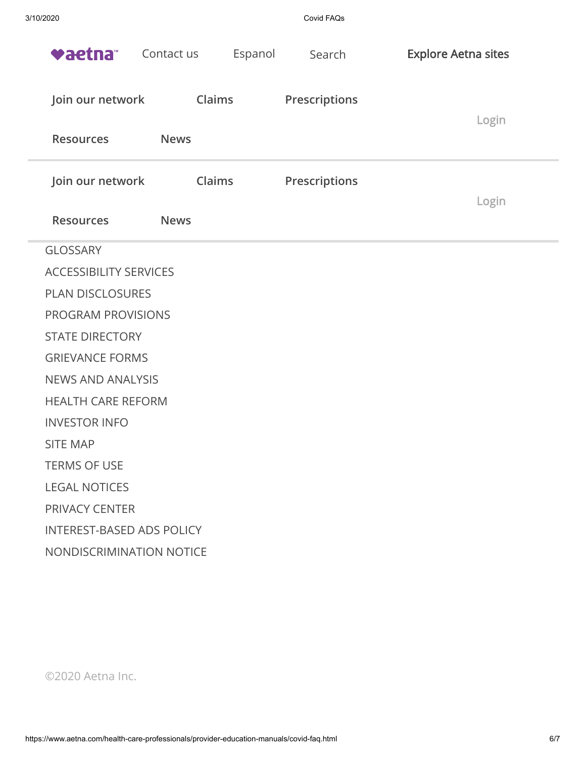| 3/10/2020                        |                       | Covid FAQs    |                            |  |
|----------------------------------|-----------------------|---------------|----------------------------|--|
| <b>vaetna™</b>                   | Espanol<br>Contact us | Search        | <b>Explore Aetna sites</b> |  |
| Join our network                 | Claims                | Prescriptions | Login                      |  |
| <b>Resources</b>                 | <b>News</b>           |               |                            |  |
| Join our network                 | Claims                | Prescriptions |                            |  |
| <b>Resources</b>                 | <b>News</b>           |               | Login                      |  |
| <b>GLOSSARY</b>                  |                       |               |                            |  |
| <b>ACCESSIBILITY SERVICES</b>    |                       |               |                            |  |
| <b>PLAN DISCLOSURES</b>          |                       |               |                            |  |
| <b>PROGRAM PROVISIONS</b>        |                       |               |                            |  |
| <b>STATE DIRECTORY</b>           |                       |               |                            |  |
| <b>GRIEVANCE FORMS</b>           |                       |               |                            |  |
| <b>NEWS AND ANALYSIS</b>         |                       |               |                            |  |
| <b>HEALTH CARE REFORM</b>        |                       |               |                            |  |
| <b>INVESTOR INFO</b>             |                       |               |                            |  |
| <b>SITE MAP</b>                  |                       |               |                            |  |
| <b>TERMS OF USE</b>              |                       |               |                            |  |
| <b>LEGAL NOTICES</b>             |                       |               |                            |  |
| <b>PRIVACY CENTER</b>            |                       |               |                            |  |
| <b>INTEREST-BASED ADS POLICY</b> |                       |               |                            |  |
| NONDISCRIMINATION NOTICE         |                       |               |                            |  |
|                                  |                       |               |                            |  |

©2020 Aetna Inc.